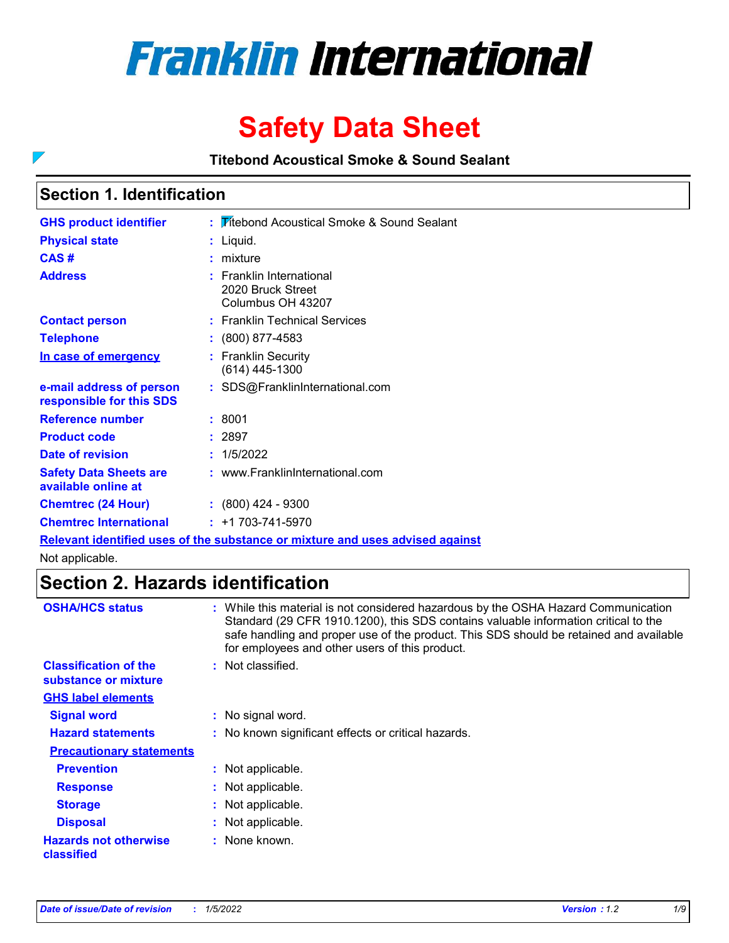

# **Safety Data Sheet**

**Titebond Acoustical Smoke & Sound Sealant**

# **Section 1. Identification**

 $\overline{\phantom{0}}$ 

| <b>GHS product identifier</b>                        | : Fitebond Acoustical Smoke & Sound Sealant                                   |
|------------------------------------------------------|-------------------------------------------------------------------------------|
| <b>Physical state</b>                                | : Liquid.                                                                     |
| CAS#                                                 | $:$ mixture                                                                   |
| <b>Address</b>                                       | $:$ Franklin International<br>2020 Bruck Street<br>Columbus OH 43207          |
| <b>Contact person</b>                                | : Franklin Technical Services                                                 |
| <b>Telephone</b>                                     | : (800) 877-4583                                                              |
| In case of emergency                                 | : Franklin Security<br>$(614)$ 445-1300                                       |
| e-mail address of person<br>responsible for this SDS | : SDS@FranklinInternational.com                                               |
| <b>Reference number</b>                              | : 8001                                                                        |
| <b>Product code</b>                                  | : 2897                                                                        |
| <b>Date of revision</b>                              | : 1/5/2022                                                                    |
| <b>Safety Data Sheets are</b><br>available online at | : www.FranklinInternational.com                                               |
| <b>Chemtrec (24 Hour)</b>                            | $: (800)$ 424 - 9300                                                          |
| <b>Chemtrec International</b>                        | $: +1703 - 741 - 5970$                                                        |
|                                                      | Relevant identified uses of the substance or mixture and uses advised against |

Not applicable.

# **Section 2. Hazards identification**

| <b>OSHA/HCS status</b>                               | : While this material is not considered hazardous by the OSHA Hazard Communication<br>Standard (29 CFR 1910.1200), this SDS contains valuable information critical to the<br>safe handling and proper use of the product. This SDS should be retained and available<br>for employees and other users of this product. |
|------------------------------------------------------|-----------------------------------------------------------------------------------------------------------------------------------------------------------------------------------------------------------------------------------------------------------------------------------------------------------------------|
| <b>Classification of the</b><br>substance or mixture | : Not classified.                                                                                                                                                                                                                                                                                                     |
| <b>GHS label elements</b>                            |                                                                                                                                                                                                                                                                                                                       |
| <b>Signal word</b>                                   | : No signal word.                                                                                                                                                                                                                                                                                                     |
| <b>Hazard statements</b>                             | : No known significant effects or critical hazards.                                                                                                                                                                                                                                                                   |
| <b>Precautionary statements</b>                      |                                                                                                                                                                                                                                                                                                                       |
| <b>Prevention</b>                                    | : Not applicable.                                                                                                                                                                                                                                                                                                     |
| <b>Response</b>                                      | : Not applicable.                                                                                                                                                                                                                                                                                                     |
| <b>Storage</b>                                       | : Not applicable.                                                                                                                                                                                                                                                                                                     |
| <b>Disposal</b>                                      | : Not applicable.                                                                                                                                                                                                                                                                                                     |
| <b>Hazards not otherwise</b><br>classified           | : None known.                                                                                                                                                                                                                                                                                                         |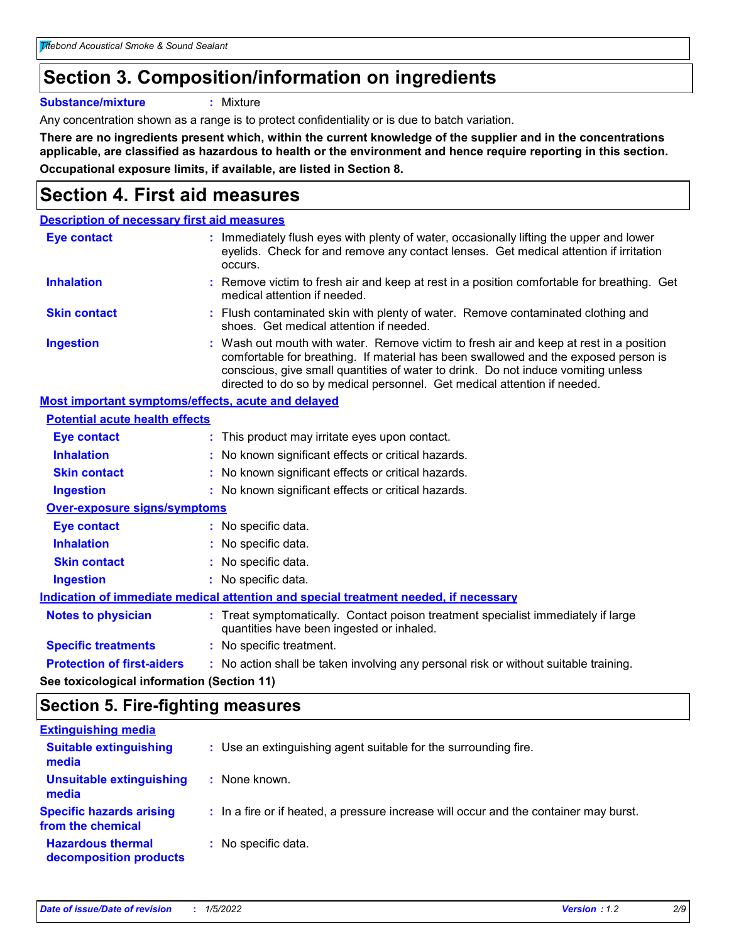# **Section 3. Composition/information on ingredients**

**Substance/mixture :** Mixture

Any concentration shown as a range is to protect confidentiality or is due to batch variation.

**There are no ingredients present which, within the current knowledge of the supplier and in the concentrations applicable, are classified as hazardous to health or the environment and hence require reporting in this section. Occupational exposure limits, if available, are listed in Section 8.**

# **Section 4. First aid measures**

| <b>Description of necessary first aid measures</b>        |                                                                                                                                                                                                                                                                                                                                                |
|-----------------------------------------------------------|------------------------------------------------------------------------------------------------------------------------------------------------------------------------------------------------------------------------------------------------------------------------------------------------------------------------------------------------|
| <b>Eye contact</b>                                        | : Immediately flush eyes with plenty of water, occasionally lifting the upper and lower<br>eyelids. Check for and remove any contact lenses. Get medical attention if irritation<br>occurs.                                                                                                                                                    |
| <b>Inhalation</b>                                         | : Remove victim to fresh air and keep at rest in a position comfortable for breathing. Get<br>medical attention if needed.                                                                                                                                                                                                                     |
| <b>Skin contact</b>                                       | : Flush contaminated skin with plenty of water. Remove contaminated clothing and<br>shoes. Get medical attention if needed.                                                                                                                                                                                                                    |
| <b>Ingestion</b>                                          | : Wash out mouth with water. Remove victim to fresh air and keep at rest in a position<br>comfortable for breathing. If material has been swallowed and the exposed person is<br>conscious, give small quantities of water to drink. Do not induce vomiting unless<br>directed to do so by medical personnel. Get medical attention if needed. |
| <b>Most important symptoms/effects, acute and delayed</b> |                                                                                                                                                                                                                                                                                                                                                |
| <b>Potential acute health effects</b>                     |                                                                                                                                                                                                                                                                                                                                                |
| <b>Eye contact</b>                                        | : This product may irritate eyes upon contact.                                                                                                                                                                                                                                                                                                 |
| <b>Inhalation</b>                                         | : No known significant effects or critical hazards.                                                                                                                                                                                                                                                                                            |
| <b>Skin contact</b>                                       | : No known significant effects or critical hazards.                                                                                                                                                                                                                                                                                            |
| <b>Ingestion</b>                                          | : No known significant effects or critical hazards.                                                                                                                                                                                                                                                                                            |
| <b>Over-exposure signs/symptoms</b>                       |                                                                                                                                                                                                                                                                                                                                                |
| Eye contact                                               | : No specific data.                                                                                                                                                                                                                                                                                                                            |
| <b>Inhalation</b>                                         | : No specific data.                                                                                                                                                                                                                                                                                                                            |
| <b>Skin contact</b>                                       | : No specific data.                                                                                                                                                                                                                                                                                                                            |
| <b>Ingestion</b>                                          | : No specific data.                                                                                                                                                                                                                                                                                                                            |
|                                                           | Indication of immediate medical attention and special treatment needed, if necessary                                                                                                                                                                                                                                                           |
| <b>Notes to physician</b>                                 | : Treat symptomatically. Contact poison treatment specialist immediately if large<br>quantities have been ingested or inhaled.                                                                                                                                                                                                                 |
| <b>Specific treatments</b>                                | : No specific treatment.                                                                                                                                                                                                                                                                                                                       |
| <b>Protection of first-aiders</b>                         | : No action shall be taken involving any personal risk or without suitable training.                                                                                                                                                                                                                                                           |
|                                                           |                                                                                                                                                                                                                                                                                                                                                |

**See toxicological information (Section 11)**

## **Section 5. Fire-fighting measures**

| <b>Extinguishing media</b>                           |                                                                                       |
|------------------------------------------------------|---------------------------------------------------------------------------------------|
| <b>Suitable extinguishing</b><br>media               | : Use an extinguishing agent suitable for the surrounding fire.                       |
| <b>Unsuitable extinguishing</b><br>media             | : None known.                                                                         |
| <b>Specific hazards arising</b><br>from the chemical | : In a fire or if heated, a pressure increase will occur and the container may burst. |
| <b>Hazardous thermal</b><br>decomposition products   | : No specific data.                                                                   |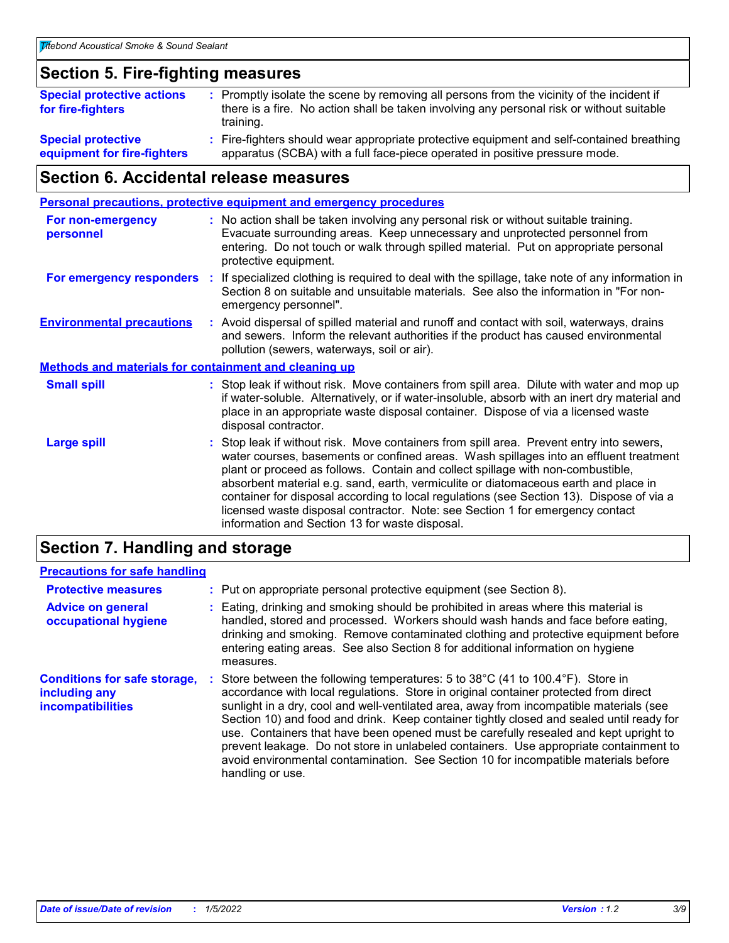# **Section 5. Fire-fighting measures**

| <b>Special protective actions</b><br>for fire-fighters   | : Promptly isolate the scene by removing all persons from the vicinity of the incident if<br>there is a fire. No action shall be taken involving any personal risk or without suitable<br>training. |
|----------------------------------------------------------|-----------------------------------------------------------------------------------------------------------------------------------------------------------------------------------------------------|
| <b>Special protective</b><br>equipment for fire-fighters | : Fire-fighters should wear appropriate protective equipment and self-contained breathing<br>apparatus (SCBA) with a full face-piece operated in positive pressure mode.                            |

# **Section 6. Accidental release measures**

|                                                              |    | <b>Personal precautions, protective equipment and emergency procedures</b>                                                                                                                                                                                                                                                                                                                                                                                                                                                                                                                 |
|--------------------------------------------------------------|----|--------------------------------------------------------------------------------------------------------------------------------------------------------------------------------------------------------------------------------------------------------------------------------------------------------------------------------------------------------------------------------------------------------------------------------------------------------------------------------------------------------------------------------------------------------------------------------------------|
| <b>For non-emergency</b><br>personnel                        |    | : No action shall be taken involving any personal risk or without suitable training.<br>Evacuate surrounding areas. Keep unnecessary and unprotected personnel from<br>entering. Do not touch or walk through spilled material. Put on appropriate personal<br>protective equipment.                                                                                                                                                                                                                                                                                                       |
| For emergency responders                                     | ÷. | If specialized clothing is required to deal with the spillage, take note of any information in<br>Section 8 on suitable and unsuitable materials. See also the information in "For non-<br>emergency personnel".                                                                                                                                                                                                                                                                                                                                                                           |
| <b>Environmental precautions</b>                             |    | : Avoid dispersal of spilled material and runoff and contact with soil, waterways, drains<br>and sewers. Inform the relevant authorities if the product has caused environmental<br>pollution (sewers, waterways, soil or air).                                                                                                                                                                                                                                                                                                                                                            |
| <b>Methods and materials for containment and cleaning up</b> |    |                                                                                                                                                                                                                                                                                                                                                                                                                                                                                                                                                                                            |
| <b>Small spill</b>                                           |    | : Stop leak if without risk. Move containers from spill area. Dilute with water and mop up<br>if water-soluble. Alternatively, or if water-insoluble, absorb with an inert dry material and<br>place in an appropriate waste disposal container. Dispose of via a licensed waste<br>disposal contractor.                                                                                                                                                                                                                                                                                   |
| <b>Large spill</b>                                           |    | : Stop leak if without risk. Move containers from spill area. Prevent entry into sewers,<br>water courses, basements or confined areas. Wash spillages into an effluent treatment<br>plant or proceed as follows. Contain and collect spillage with non-combustible,<br>absorbent material e.g. sand, earth, vermiculite or diatomaceous earth and place in<br>container for disposal according to local regulations (see Section 13). Dispose of via a<br>licensed waste disposal contractor. Note: see Section 1 for emergency contact<br>information and Section 13 for waste disposal. |
|                                                              |    |                                                                                                                                                                                                                                                                                                                                                                                                                                                                                                                                                                                            |

## **Section 7. Handling and storage**

### **Precautions for safe handling**

| <b>Protective measures</b>                                                | : Put on appropriate personal protective equipment (see Section 8).                                                                                                                                                                                                                                                                                                                                                                                                                                                                                                                                                                                                           |
|---------------------------------------------------------------------------|-------------------------------------------------------------------------------------------------------------------------------------------------------------------------------------------------------------------------------------------------------------------------------------------------------------------------------------------------------------------------------------------------------------------------------------------------------------------------------------------------------------------------------------------------------------------------------------------------------------------------------------------------------------------------------|
| <b>Advice on general</b><br>occupational hygiene                          | Eating, drinking and smoking should be prohibited in areas where this material is<br>handled, stored and processed. Workers should wash hands and face before eating,<br>drinking and smoking. Remove contaminated clothing and protective equipment before<br>entering eating areas. See also Section 8 for additional information on hygiene<br>measures.                                                                                                                                                                                                                                                                                                                   |
| <b>Conditions for safe storage,</b><br>including any<br>incompatibilities | Store between the following temperatures: 5 to $38^{\circ}$ C (41 to 100.4 $^{\circ}$ F). Store in<br>accordance with local regulations. Store in original container protected from direct<br>sunlight in a dry, cool and well-ventilated area, away from incompatible materials (see<br>Section 10) and food and drink. Keep container tightly closed and sealed until ready for<br>use. Containers that have been opened must be carefully resealed and kept upright to<br>prevent leakage. Do not store in unlabeled containers. Use appropriate containment to<br>avoid environmental contamination. See Section 10 for incompatible materials before<br>handling or use. |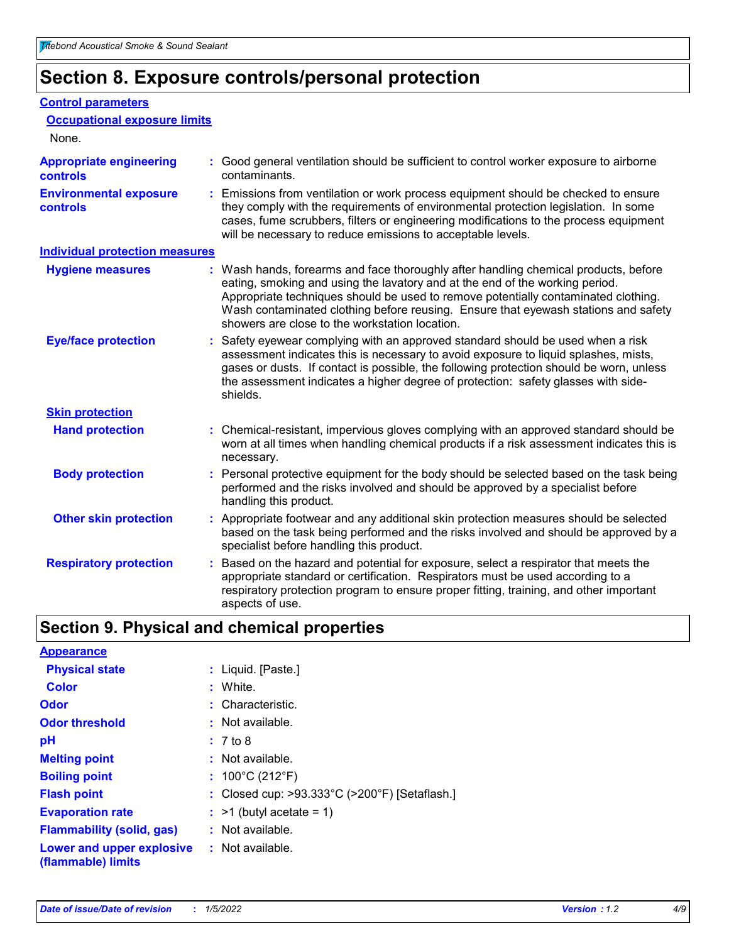# **Section 8. Exposure controls/personal protection**

#### **Control parameters**

| <b>Occupational exposure limits</b>               |    |                                                                                                                                                                                                                                                                                                                                                                                                   |
|---------------------------------------------------|----|---------------------------------------------------------------------------------------------------------------------------------------------------------------------------------------------------------------------------------------------------------------------------------------------------------------------------------------------------------------------------------------------------|
| None.                                             |    |                                                                                                                                                                                                                                                                                                                                                                                                   |
| <b>Appropriate engineering</b><br><b>controls</b> |    | : Good general ventilation should be sufficient to control worker exposure to airborne<br>contaminants.                                                                                                                                                                                                                                                                                           |
| <b>Environmental exposure</b><br>controls         |    | : Emissions from ventilation or work process equipment should be checked to ensure<br>they comply with the requirements of environmental protection legislation. In some<br>cases, fume scrubbers, filters or engineering modifications to the process equipment<br>will be necessary to reduce emissions to acceptable levels.                                                                   |
| <b>Individual protection measures</b>             |    |                                                                                                                                                                                                                                                                                                                                                                                                   |
| <b>Hygiene measures</b>                           |    | : Wash hands, forearms and face thoroughly after handling chemical products, before<br>eating, smoking and using the lavatory and at the end of the working period.<br>Appropriate techniques should be used to remove potentially contaminated clothing.<br>Wash contaminated clothing before reusing. Ensure that eyewash stations and safety<br>showers are close to the workstation location. |
| <b>Eye/face protection</b>                        |    | : Safety eyewear complying with an approved standard should be used when a risk<br>assessment indicates this is necessary to avoid exposure to liquid splashes, mists,<br>gases or dusts. If contact is possible, the following protection should be worn, unless<br>the assessment indicates a higher degree of protection: safety glasses with side-<br>shields.                                |
| <b>Skin protection</b>                            |    |                                                                                                                                                                                                                                                                                                                                                                                                   |
| <b>Hand protection</b>                            |    | : Chemical-resistant, impervious gloves complying with an approved standard should be<br>worn at all times when handling chemical products if a risk assessment indicates this is<br>necessary.                                                                                                                                                                                                   |
| <b>Body protection</b>                            |    | : Personal protective equipment for the body should be selected based on the task being<br>performed and the risks involved and should be approved by a specialist before<br>handling this product.                                                                                                                                                                                               |
| <b>Other skin protection</b>                      |    | : Appropriate footwear and any additional skin protection measures should be selected<br>based on the task being performed and the risks involved and should be approved by a<br>specialist before handling this product.                                                                                                                                                                         |
| <b>Respiratory protection</b>                     | ÷. | Based on the hazard and potential for exposure, select a respirator that meets the<br>appropriate standard or certification. Respirators must be used according to a<br>respiratory protection program to ensure proper fitting, training, and other important<br>aspects of use.                                                                                                                 |

# **Section 9. Physical and chemical properties**

| <b>Appearance</b>                                                       |                                               |
|-------------------------------------------------------------------------|-----------------------------------------------|
| <b>Physical state</b>                                                   | : Liquid. [Paste.]                            |
| <b>Color</b>                                                            | : White.                                      |
| Odor                                                                    | : Characteristic.                             |
| <b>Odor threshold</b>                                                   | : Not available.                              |
| рH                                                                      | : 7 to 8                                      |
| <b>Melting point</b>                                                    | : Not available.                              |
| <b>Boiling point</b>                                                    | : $100^{\circ}$ C (212 $^{\circ}$ F)          |
| <b>Flash point</b>                                                      | : Closed cup: >93.333°C (>200°F) [Setaflash.] |
| <b>Evaporation rate</b>                                                 | $:$ >1 (butyl acetate = 1)                    |
| <b>Flammability (solid, gas)</b>                                        | : Not available.                              |
| <b>Lower and upper explosive : Not available.</b><br>(flammable) limits |                                               |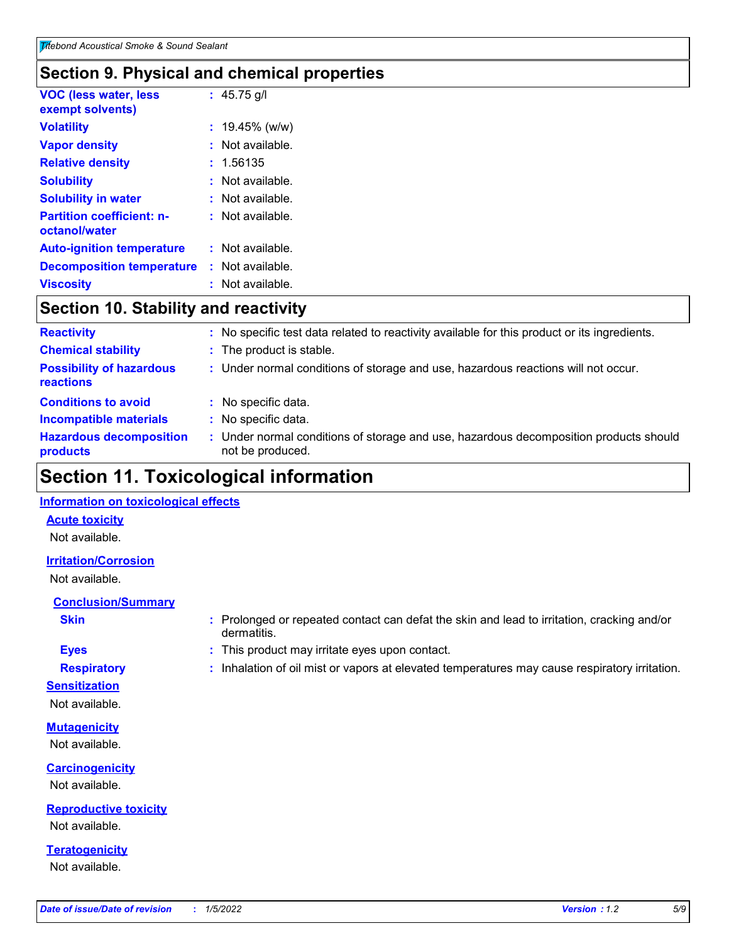# **Section 9. Physical and chemical properties**

| <b>VOC (less water, less</b><br>exempt solvents)  | : $45.75$ g/l      |
|---------------------------------------------------|--------------------|
| <b>Volatility</b>                                 | $: 19.45\%$ (w/w)  |
| <b>Vapor density</b>                              | $:$ Not available. |
| <b>Relative density</b>                           | : 1.56135          |
| <b>Solubility</b>                                 | : Not available.   |
| <b>Solubility in water</b>                        | : Not available.   |
| <b>Partition coefficient: n-</b><br>octanol/water | : Not available.   |
| <b>Auto-ignition temperature</b>                  | : Not available.   |
| <b>Decomposition temperature</b>                  | : Not available.   |
| <b>Viscosity</b>                                  | : Not available.   |

# **Section 10. Stability and reactivity**

| <b>Reactivity</b>                            |   | : No specific test data related to reactivity available for this product or its ingredients.            |
|----------------------------------------------|---|---------------------------------------------------------------------------------------------------------|
| <b>Chemical stability</b>                    |   | : The product is stable.                                                                                |
| <b>Possibility of hazardous</b><br>reactions |   | : Under normal conditions of storage and use, hazardous reactions will not occur.                       |
| <b>Conditions to avoid</b>                   | ÷ | No specific data.                                                                                       |
| <b>Incompatible materials</b>                |   | No specific data.                                                                                       |
| <b>Hazardous decomposition</b><br>products   |   | Under normal conditions of storage and use, hazardous decomposition products should<br>not be produced. |

# **Section 11. Toxicological information**

#### **Information on toxicological effects**

#### **Acute toxicity**

Not available.

#### **Irritation/Corrosion**

Not available.

### **Conclusion/Summary**

- 
- **Sensitization**

Not available.

**Mutagenicity** Not available.

**Carcinogenicity** Not available.

**Reproductive toxicity** Not available.

**Teratogenicity** Not available.

- **Skin Example 3 :** Prolonged or repeated contact can defat the skin and lead to irritation, cracking and/or dermatitis.
- **Eyes :** This product may irritate eyes upon contact.
- **Respiratory :** Inhalation of oil mist or vapors at elevated temperatures may cause respiratory irritation.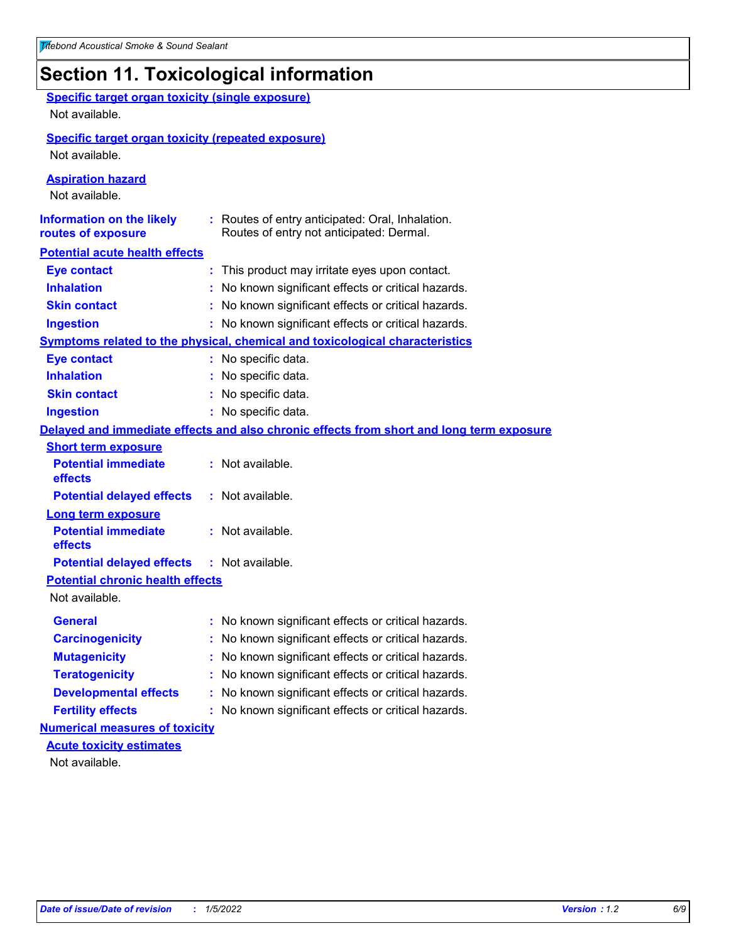# **Section 11. Toxicological information**

| <b>Specific target organ toxicity (single exposure)</b><br>Not available.   |                                                                                              |
|-----------------------------------------------------------------------------|----------------------------------------------------------------------------------------------|
| <b>Specific target organ toxicity (repeated exposure)</b><br>Not available. |                                                                                              |
| <b>Aspiration hazard</b><br>Not available.                                  |                                                                                              |
| <b>Information on the likely</b><br>routes of exposure                      | : Routes of entry anticipated: Oral, Inhalation.<br>Routes of entry not anticipated: Dermal. |
| <b>Potential acute health effects</b>                                       |                                                                                              |
| <b>Eye contact</b>                                                          | : This product may irritate eyes upon contact.                                               |
| <b>Inhalation</b>                                                           | : No known significant effects or critical hazards.                                          |
| <b>Skin contact</b>                                                         | : No known significant effects or critical hazards.                                          |
| <b>Ingestion</b>                                                            | : No known significant effects or critical hazards.                                          |
|                                                                             | Symptoms related to the physical, chemical and toxicological characteristics                 |
| <b>Eye contact</b>                                                          | : No specific data.                                                                          |
| <b>Inhalation</b>                                                           | : No specific data.                                                                          |
| <b>Skin contact</b>                                                         | No specific data.                                                                            |
| <b>Ingestion</b>                                                            | : No specific data.                                                                          |
|                                                                             | Delayed and immediate effects and also chronic effects from short and long term exposure     |
| <b>Short term exposure</b>                                                  |                                                                                              |
| <b>Potential immediate</b><br>effects                                       | : Not available.                                                                             |
| <b>Potential delayed effects</b>                                            | : Not available.                                                                             |
| <b>Long term exposure</b>                                                   |                                                                                              |
| <b>Potential immediate</b><br>effects                                       | : Not available.                                                                             |
| <b>Potential delayed effects</b>                                            | : Not available.                                                                             |
| <b>Potential chronic health effects</b>                                     |                                                                                              |
| Not available.                                                              |                                                                                              |
| General                                                                     | : No known significant effects or critical hazards.                                          |
| <b>Carcinogenicity</b>                                                      | No known significant effects or critical hazards.                                            |
| <b>Mutagenicity</b>                                                         | No known significant effects or critical hazards.                                            |
| <b>Teratogenicity</b>                                                       | No known significant effects or critical hazards.                                            |
| <b>Developmental effects</b>                                                | No known significant effects or critical hazards.                                            |
| <b>Fertility effects</b>                                                    | No known significant effects or critical hazards.                                            |
| <b>Numerical measures of toxicity</b>                                       |                                                                                              |
| <b>Acute toxicity estimates</b>                                             |                                                                                              |
| Not available.                                                              |                                                                                              |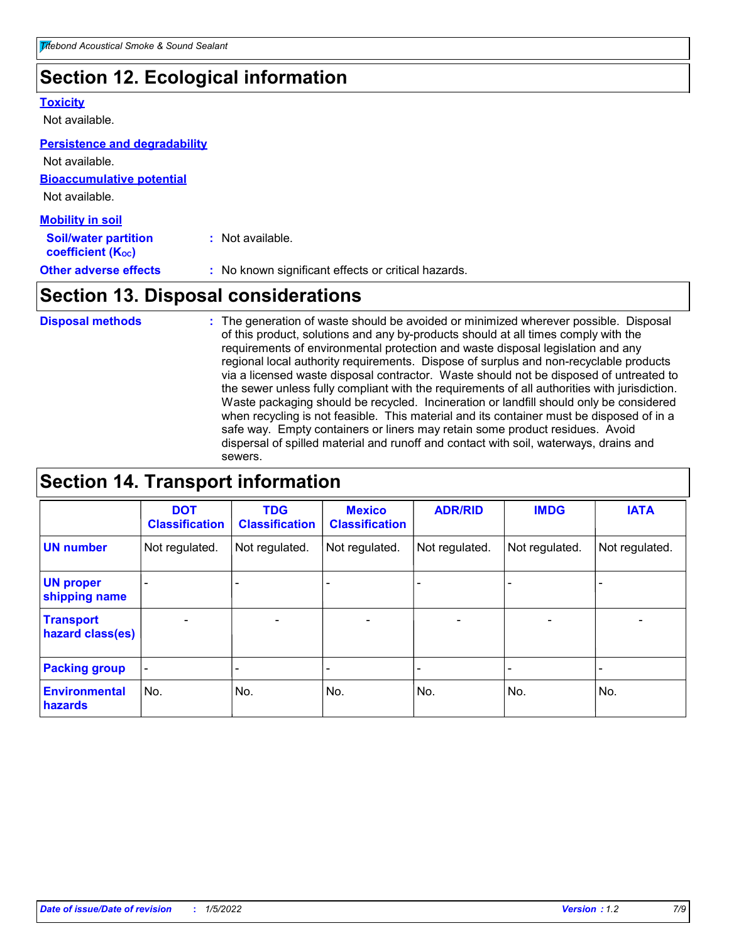# **Section 12. Ecological information**

#### **Toxicity**

Not available.

#### **Persistence and degradability**

**Bioaccumulative potential** Not available. Not available.

| <b>Mobility in soil</b>                                 |                                                     |
|---------------------------------------------------------|-----------------------------------------------------|
| <b>Soil/water partition</b><br><b>coefficient (Koc)</b> | : Not available.                                    |
| <b>Other adverse effects</b>                            | : No known significant effects or critical hazards. |

# **Section 13. Disposal considerations**

The generation of waste should be avoided or minimized wherever possible. Disposal of this product, solutions and any by-products should at all times comply with the requirements of environmental protection and waste disposal legislation and any regional local authority requirements. Dispose of surplus and non-recyclable products via a licensed waste disposal contractor. Waste should not be disposed of untreated to the sewer unless fully compliant with the requirements of all authorities with jurisdiction. Waste packaging should be recycled. Incineration or landfill should only be considered when recycling is not feasible. This material and its container must be disposed of in a safe way. Empty containers or liners may retain some product residues. Avoid dispersal of spilled material and runoff and contact with soil, waterways, drains and sewers. **Disposal methods :**

# **Section 14. Transport information**

|                                      | <b>DOT</b><br><b>Classification</b> | <b>TDG</b><br><b>Classification</b> | <b>Mexico</b><br><b>Classification</b> | <b>ADR/RID</b>               | <b>IMDG</b>              | <b>IATA</b>    |
|--------------------------------------|-------------------------------------|-------------------------------------|----------------------------------------|------------------------------|--------------------------|----------------|
| <b>UN number</b>                     | Not regulated.                      | Not regulated.                      | Not regulated.                         | Not regulated.               | Not regulated.           | Not regulated. |
| <b>UN proper</b><br>shipping name    |                                     |                                     |                                        |                              |                          |                |
| <b>Transport</b><br>hazard class(es) | $\overline{\phantom{0}}$            | $\overline{\phantom{0}}$            | $\overline{\phantom{0}}$               | $\qquad \qquad \blacksquare$ | $\overline{\phantom{0}}$ | $\blacksquare$ |
| <b>Packing group</b>                 | -                                   |                                     |                                        |                              |                          |                |
| <b>Environmental</b><br>hazards      | No.                                 | No.                                 | No.                                    | No.                          | No.                      | No.            |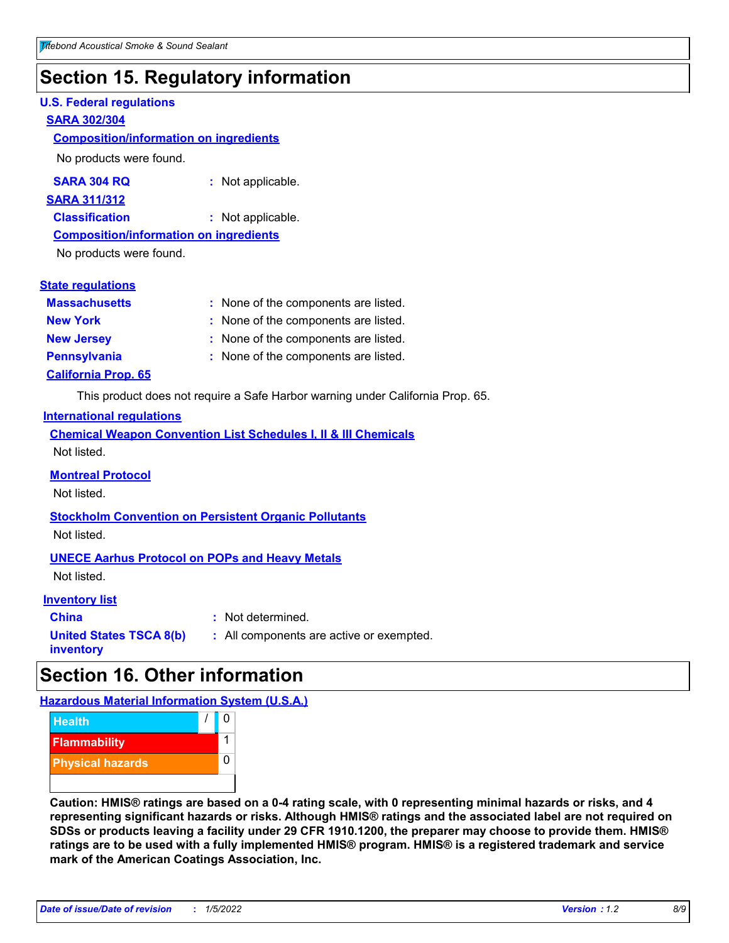# **Section 15. Regulatory information**

#### **U.S. Federal regulations**

#### **SARA 302/304**

#### **Composition/information on ingredients**

No products were found.

| SARA 304 RQ | Not applicable. |
|-------------|-----------------|
|-------------|-----------------|

#### **SARA 311/312**

**Classification :** Not applicable.

#### **Composition/information on ingredients**

No products were found.

| <b>State regulations</b> |  |  |
|--------------------------|--|--|
|--------------------------|--|--|

| <b>Massachusetts</b>       | : None of the components are listed. |
|----------------------------|--------------------------------------|
| <b>New York</b>            | : None of the components are listed. |
| <b>New Jersey</b>          | : None of the components are listed. |
| <b>Pennsylvania</b>        | : None of the components are listed. |
| <b>California Prop. 65</b> |                                      |

This product does not require a Safe Harbor warning under California Prop. 65.

#### **International regulations**

|             |  |  | <b>Chemical Weapon Convention List Schedules I, II &amp; III Chemicals</b> |  |
|-------------|--|--|----------------------------------------------------------------------------|--|
| Not listed. |  |  |                                                                            |  |

#### **Montreal Protocol**

Not listed.

**Stockholm Convention on Persistent Organic Pollutants** Not listed.

#### **UNECE Aarhus Protocol on POPs and Heavy Metals**

Not listed.

#### **Inventory list**

**China :** Not determined. **United States TSCA 8(b) inventory :** All components are active or exempted.

# **Section 16. Other information**

**Hazardous Material Information System (U.S.A.)**



**Caution: HMIS® ratings are based on a 0-4 rating scale, with 0 representing minimal hazards or risks, and 4 representing significant hazards or risks. Although HMIS® ratings and the associated label are not required on SDSs or products leaving a facility under 29 CFR 1910.1200, the preparer may choose to provide them. HMIS® ratings are to be used with a fully implemented HMIS® program. HMIS® is a registered trademark and service mark of the American Coatings Association, Inc.**